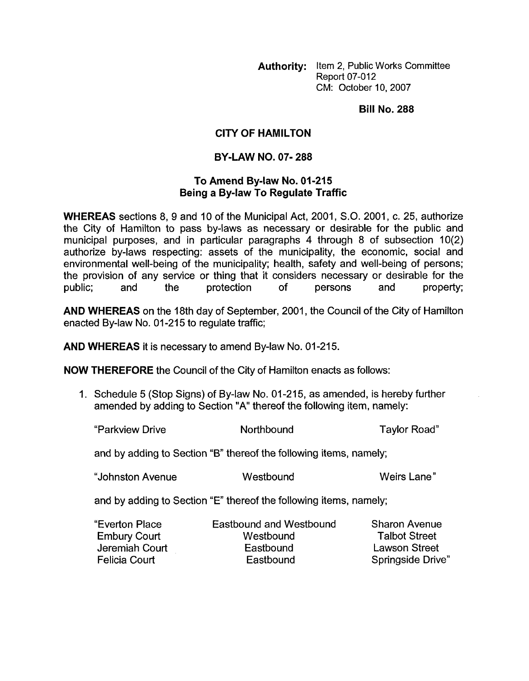**Authority:** Item 2, Public Works Committee **Report 07-012** CM: October 10,2007

**Bill No. 288** 

## **CITY OF HAMILTON**

## **BY-LAW NO. 07- 288**

## **To Amend Bylaw No. 01-215 Being a By-law To Regulate Traffic**

**WHEREAS** sections 8, **9** and 10 of the Municipal Act, 2001, S.O. 2001 , c. 25, authorize the City of Hamilton to pass by-laws as necessary or desirable for the public and municipal purposes, and in particular paragraphs 4 through 8 of subsection 10(2) authorize by-laws respecting: assets of the municipality, the economic, social and environmental well-being of the municipality; health, safety and well-being of persons; the provision of any service or thing that it considers necessary or desirable for the public; and the protection of persons and property;

**AND WHEREAS** on the 18th day of September, 2001 , the Council of the City of Hamilton enacted By-law No. 01-215 to regulate traffic;

**AND WHEREAS** it is necessary to amend By-law No. 01-215.

**NOW THEREFORE** the Council of the City of Hamilton enacts as follows:

1. Schedule 5 (Stop Signs) of By-law No. 01-215, as amended, is hereby further amended by adding to Section "A" thereof the following item, namely:

"Parkview Drive North bound Taylor Road"

and by adding to Section **"6"** thereof the following items, namely;

"Johnston Avenue Westbound Weirs Lane"

and by adding to Section "E" thereof the following items, namely;

"Everton Place Eastbound and Westbound Sharon Avenue Embury Court **Westbound** Talbot Street Jeremiah Court Eastbound Lawson Street Felicia Court **Eastbound** Eastbound Springside Drive"